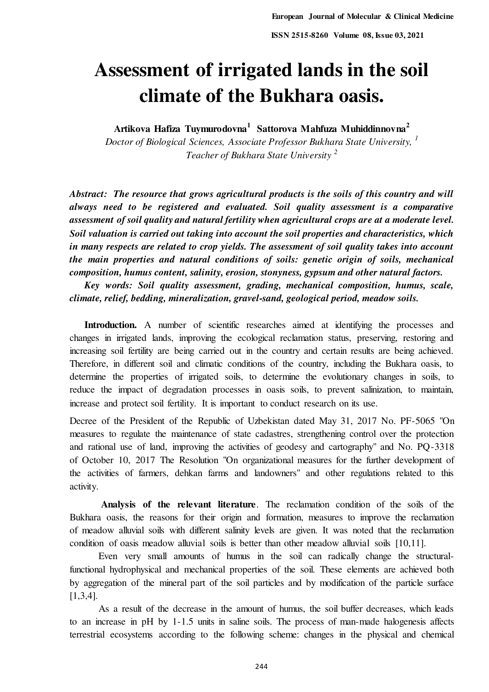# **Assessment of irrigated lands in the soil climate of the Bukhara oasis.**

**Artikova Hafiza Tuymurodovna<sup>1</sup>Sattorova Mahfuza Muhiddinnovna<sup>2</sup>**

*Doctor of Biological Sciences, Associate Professor Bukhara State University, <sup>1</sup> Teacher of Bukhara State University <sup>2</sup>*

*Abstract: The resource that grows agricultural products is the soils of this country and will always need to be registered and evaluated. Soil quality assessment is a comparative assessment of soil quality and natural fertility when agricultural crops are at a moderate level. Soil valuation is carried out taking into account the soil properties and characteristics, which in many respects are related to crop yields. The assessment of soil quality takes into account the main properties and natural conditions of soils: genetic origin of soils, mechanical composition, humus content, salinity, erosion, stonyness, gypsum and other natural factors.* 

 *Key words: Soil quality assessment, grading, mechanical composition, humus, scale, climate, relief, bedding, mineralization, gravel-sand, geological period, meadow soils.* 

Introduction. A number of scientific researches aimed at identifying the processes and changes in irrigated lands, improving the ecological reclamation status, preserving, restoring and increasing soil fertility are being carried out in the country and certain results are being achieved. Therefore, in different soil and climatic conditions of the country, including the Bukhara oasis, to determine the properties of irrigated soils, to determine the evolutionary changes in soils, to reduce the impact of degradation processes in oasis soils, to prevent salinization, to maintain, increase and protect soil fertility. It is important to conduct research on its use.

Decree of the President of the Republic of Uzbekistan dated May 31, 2017 No. PF-5065 "On measures to regulate the maintenance of state cadastres, strengthening control over the protection and rational use of land, improving the activities of geodesy and cartography" and No. PQ-3318 of October 10, 2017 The Resolution "On organizational measures for the further development of the activities of farmers, dehkan farms and landowners" and other regulations related to this activity.

 **Analysis of the relevant literature**. The reclamation condition of the soils of the Bukhara oasis, the reasons for their origin and formation, measures to improve the reclamation of meadow alluvial soils with different salinity levels are given. It was noted that the reclamation condition of oasis meadow alluvial soils is better than other meadow alluvial soils [10,11].

Even very small amounts of humus in the soil can radically change the structuralfunctional hydrophysical and mechanical properties of the soil. These elements are achieved both by aggregation of the mineral part of the soil particles and by modification of the particle surface [1,3,4].

As a result of the decrease in the amount of humus, the soil buffer decreases, which leads to an increase in pH by 1-1.5 units in saline soils. The process of man-made halogenesis affects terrestrial ecosystems according to the following scheme: changes in the physical and chemical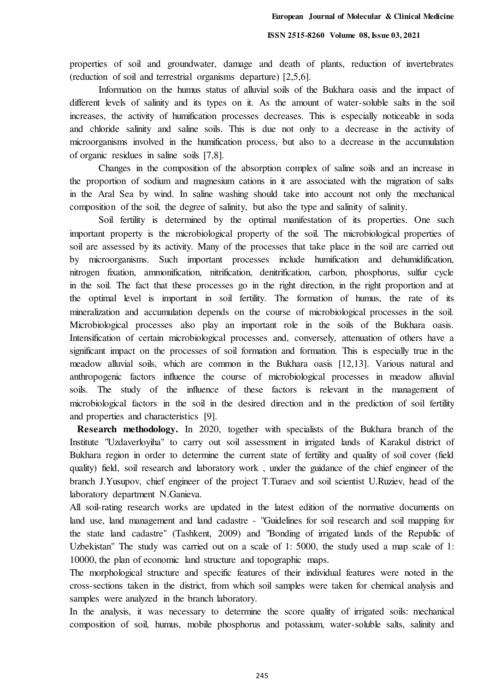properties of soil and groundwater, damage and death of plants, reduction of invertebrates (reduction of soil and terrestrial organisms departure) [2,5,6].

Information on the humus status of alluvial soils of the Bukhara oasis and the impact of different levels of salinity and its types on it. As the amount of water-soluble salts in the soil increases, the activity of humification processes decreases. This is especially noticeable in soda and chloride salinity and saline soils. This is due not only to a decrease in the activity of microorganisms involved in the humification process, but also to a decrease in the accumulation of organic residues in saline soils [7,8].

Changes in the composition of the absorption complex of saline soils and an increase in the proportion of sodium and magnesium cations in it are associated with the migration of salts in the Aral Sea by wind. In saline washing should take into account not only the mechanical composition of the soil, the degree of salinity, but also the type and salinity of salinity.

Soil fertility is determined by the optimal manifestation of its properties. One such important property is the microbiological property of the soil. The microbiological properties of soil are assessed by its activity. Many of the processes that take place in the soil are carried out by microorganisms. Such important processes include humification and dehumidification, nitrogen fixation, ammonification, nitrification, denitrification, carbon, phosphorus, sulfur cycle in the soil. The fact that these processes go in the right direction, in the right proportion and at the optimal level is important in soil fertility. The formation of humus, the rate of its mineralization and accumulation depends on the course of microbiological processes in the soil. Microbiological processes also play an important role in the soils of the Bukhara oasis. Intensification of certain microbiological processes and, conversely, attenuation of others have a significant impact on the processes of soil formation and formation. This is especially true in the meadow alluvial soils, which are common in the Bukhara oasis [12,13]. Various natural and anthropogenic factors influence the course of microbiological processes in meadow alluvial soils. The study of the influence of these factors is relevant in the management of microbiological factors in the soil in the desired direction and in the prediction of soil fertility and properties and characteristics [9].

 **Research methodology.** In 2020, together with specialists of the Bukhara branch of the Institute "Uzdaverloyiha" to carry out soil assessment in irrigated lands of Karakul district of Bukhara region in order to determine the current state of fertility and quality of soil cover (field quality) field, soil research and laboratory work , under the guidance of the chief engineer of the branch J.Yusupov, chief engineer of the project T.Turaev and soil scientist U.Ruziev, head of the laboratory department N.Ganieva.

All soil-rating research works are updated in the latest edition of the normative documents on land use, land management and land cadastre - "Guidelines for soil research and soil mapping for the state land cadastre" (Tashkent, 2009) and "Bonding of irrigated lands of the Republic of Uzbekistan" The study was carried out on a scale of 1: 5000, the study used a map scale of 1: 10000, the plan of economic land structure and topographic maps.

The morphological structure and specific features of their individual features were noted in the cross-sections taken in the district, from which soil samples were taken for chemical analysis and samples were analyzed in the branch laboratory.

In the analysis, it was necessary to determine the score quality of irrigated soils: mechanical composition of soil, humus, mobile phosphorus and potassium, water-soluble salts, salinity and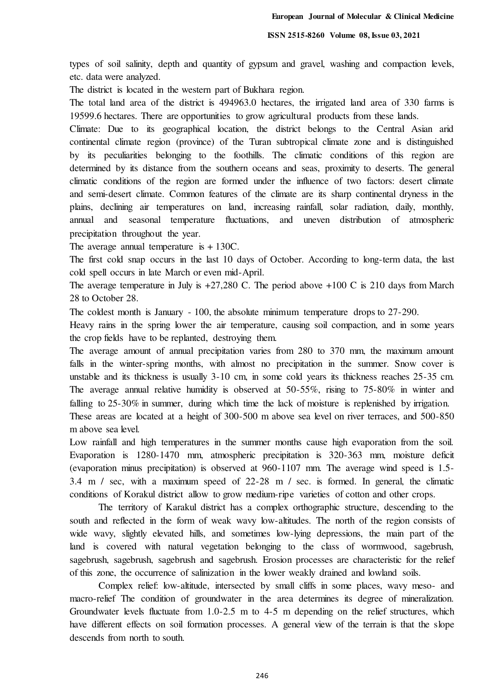types of soil salinity, depth and quantity of gypsum and gravel, washing and compaction levels, etc. data were analyzed.

The district is located in the western part of Bukhara region.

The total land area of the district is 494963.0 hectares, the irrigated land area of 330 farms is 19599.6 hectares. There are opportunities to grow agricultural products from these lands.

Climate: Due to its geographical location, the district belongs to the Central Asian arid continental climate region (province) of the Turan subtropical climate zone and is distinguished by its peculiarities belonging to the foothills. The climatic conditions of this region are determined by its distance from the southern oceans and seas, proximity to deserts. The general climatic conditions of the region are formed under the influence of two factors: desert climate and semi-desert climate. Common features of the climate are its sharp continental dryness in the plains, declining air temperatures on land, increasing rainfall, solar radiation, daily, monthly, annual and seasonal temperature fluctuations, and uneven distribution of atmospheric precipitation throughout the year.

The average annual temperature is  $+130C$ .

The first cold snap occurs in the last 10 days of October. According to long-term data, the last cold spell occurs in late March or even mid-April.

The average temperature in July is  $+27,280$  C. The period above  $+100$  C is 210 days from March 28 to October 28.

The coldest month is January - 100, the absolute minimum temperature drops to 27-290.

Heavy rains in the spring lower the air temperature, causing soil compaction, and in some years the crop fields have to be replanted, destroying them.

The average amount of annual precipitation varies from 280 to 370 mm, the maximum amount falls in the winter-spring months, with almost no precipitation in the summer. Snow cover is unstable and its thickness is usually 3-10 cm, in some cold years its thickness reaches 25-35 cm. The average annual relative humidity is observed at 50-55%, rising to 75-80% in winter and falling to 25-30% in summer, during which time the lack of moisture is replenished by irrigation. These areas are located at a height of 300-500 m above sea level on river terraces, and 500-850 m above sea level.

Low rainfall and high temperatures in the summer months cause high evaporation from the soil. Evaporation is 1280-1470 mm, atmospheric precipitation is 320-363 mm, moisture deficit (evaporation minus precipitation) is observed at 960-1107 mm. The average wind speed is 1.5- 3.4 m / sec, with a maximum speed of 22-28 m / sec. is formed. In general, the climatic conditions of Korakul district allow to grow medium-ripe varieties of cotton and other crops.

The territory of Karakul district has a complex orthographic structure, descending to the south and reflected in the form of weak wavy low-altitudes. The north of the region consists of wide wavy, slightly elevated hills, and sometimes low-lying depressions, the main part of the land is covered with natural vegetation belonging to the class of wormwood, sagebrush, sagebrush, sagebrush, sagebrush and sagebrush. Erosion processes are characteristic for the relief of this zone, the occurrence of salinization in the lower weakly drained and lowland soils.

Complex relief: low-altitude, intersected by small cliffs in some places, wavy meso- and macro-relief The condition of groundwater in the area determines its degree of mineralization. Groundwater levels fluctuate from 1.0-2.5 m to 4-5 m depending on the relief structures, which have different effects on soil formation processes. A general view of the terrain is that the slope descends from north to south.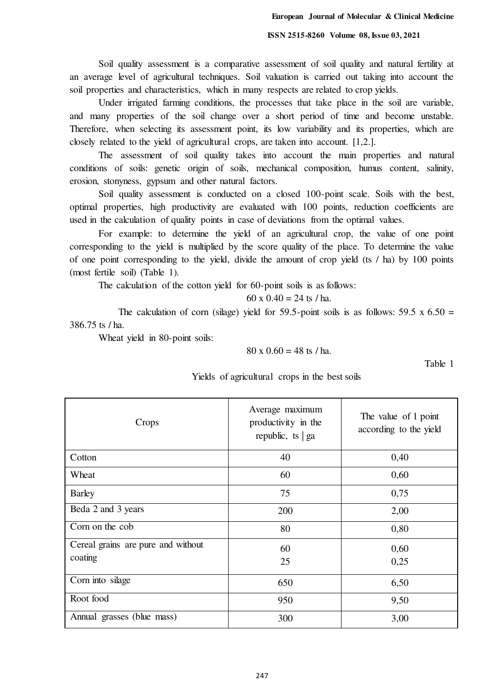Soil quality assessment is a comparative assessment of soil quality and natural fertility at an average level of agricultural techniques. Soil valuation is carried out taking into account the soil properties and characteristics, which in many respects are related to crop yields.

Under irrigated farming conditions, the processes that take place in the soil are variable, and many properties of the soil change over a short period of time and become unstable. Therefore, when selecting its assessment point, its low variability and its properties, which are closely related to the yield of agricultural crops, are taken into account. [1,2.].

The assessment of soil quality takes into account the main properties and natural conditions of soils: genetic origin of soils, mechanical composition, humus content, salinity, erosion, stonyness, gypsum and other natural factors.

Soil quality assessment is conducted on a closed 100-point scale. Soils with the best, optimal properties, high productivity are evaluated with 100 points, reduction coefficients are used in the calculation of quality points in case of deviations from the optimal values.

For example: to determine the yield of an agricultural crop, the value of one point corresponding to the yield is multiplied by the score quality of the place. To determine the value of one point corresponding to the yield, divide the amount of crop yield (ts / ha) by 100 points (most fertile soil) (Table 1).

The calculation of the cotton yield for 60-point soils is as follows:

$$
60 \times 0.40 = 24
$$
ts / ha.

The calculation of corn (silage) yield for 59.5-point soils is as follows:  $59.5 \times 6.50 =$ 386.75 ts / ha.

Wheat yield in 80-point soils:

$$
80 \times 0.60 = 48
$$
ts / ha.

Table 1

| Yields of agricultural crops in the best soils |  |
|------------------------------------------------|--|
|------------------------------------------------|--|

| Crops                                         | Average maximum<br>productivity in the<br>republic, ts $ $ ga | The value of 1 point<br>according to the yield |
|-----------------------------------------------|---------------------------------------------------------------|------------------------------------------------|
| Cotton                                        | 40                                                            | 0,40                                           |
| Wheat                                         | 60                                                            | 0,60                                           |
| <b>Barley</b>                                 | 75                                                            | 0,75                                           |
| Beda 2 and 3 years                            | 200                                                           | 2,00                                           |
| Corn on the cob                               | 80                                                            | 0,80                                           |
| Cereal grains are pure and without<br>coating | 60                                                            | 0,60                                           |
|                                               | 25                                                            | 0,25                                           |
| Corn into silage                              | 650                                                           | 6,50                                           |
| Root food                                     | 950                                                           | 9,50                                           |
| Annual grasses (blue mass)                    | 300                                                           | 3,00                                           |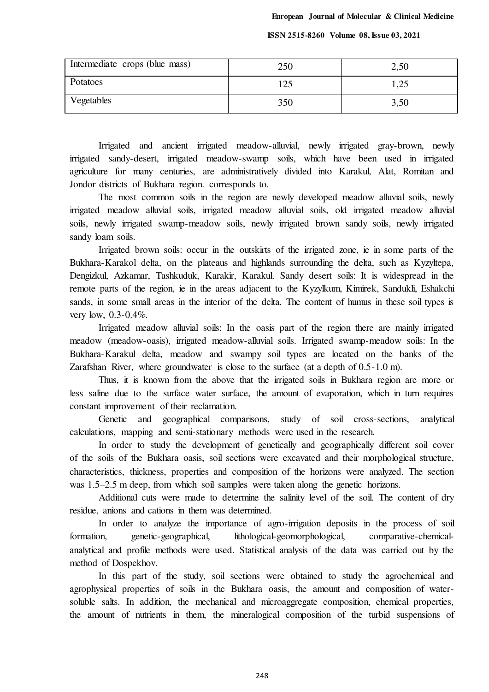| Intermediate crops (blue mass) | 250 | 2,50 |
|--------------------------------|-----|------|
| Potatoes                       | 125 | 1,25 |
| Vegetables                     | 350 | 3,50 |

Irrigated and ancient irrigated meadow-alluvial, newly irrigated gray-brown, newly irrigated sandy-desert, irrigated meadow-swamp soils, which have been used in irrigated agriculture for many centuries, are administratively divided into Karakul, Alat, Romitan and Jondor districts of Bukhara region. corresponds to.

The most common soils in the region are newly developed meadow alluvial soils, newly irrigated meadow alluvial soils, irrigated meadow alluvial soils, old irrigated meadow alluvial soils, newly irrigated swamp-meadow soils, newly irrigated brown sandy soils, newly irrigated sandy loam soils.

Irrigated brown soils: occur in the outskirts of the irrigated zone, ie in some parts of the Bukhara-Karakol delta, on the plateaus and highlands surrounding the delta, such as Kyzyltepa, Dengizkul, Azkamar, Tashkuduk, Karakir, Karakul. Sandy desert soils: It is widespread in the remote parts of the region, ie in the areas adjacent to the Kyzylkum, Kimirek, Sandukli, Eshakchi sands, in some small areas in the interior of the delta. The content of humus in these soil types is very low, 0.3-0.4%.

Irrigated meadow alluvial soils: In the oasis part of the region there are mainly irrigated meadow (meadow-oasis), irrigated meadow-alluvial soils. Irrigated swamp-meadow soils: In the Bukhara-Karakul delta, meadow and swampy soil types are located on the banks of the Zarafshan River, where groundwater is close to the surface (at a depth of 0.5-1.0 m).

Thus, it is known from the above that the irrigated soils in Bukhara region are more or less saline due to the surface water surface, the amount of evaporation, which in turn requires constant improvement of their reclamation.

Genetic and geographical comparisons, study of soil cross-sections, analytical calculations, mapping and semi-stationary methods were used in the research.

In order to study the development of genetically and geographically different soil cover of the soils of the Bukhara oasis, soil sections were excavated and their morphological structure, characteristics, thickness, properties and composition of the horizons were analyzed. The section was 1.5–2.5 m deep, from which soil samples were taken along the genetic horizons.

Additional cuts were made to determine the salinity level of the soil. The content of dry residue, anions and cations in them was determined.

In order to analyze the importance of agro-irrigation deposits in the process of soil formation, genetic-geographical, lithological-geomorphological, comparative-chemicalanalytical and profile methods were used. Statistical analysis of the data was carried out by the method of Dospekhov.

In this part of the study, soil sections were obtained to study the agrochemical and agrophysical properties of soils in the Bukhara oasis, the amount and composition of watersoluble salts. In addition, the mechanical and microaggregate composition, chemical properties, the amount of nutrients in them, the mineralogical composition of the turbid suspensions of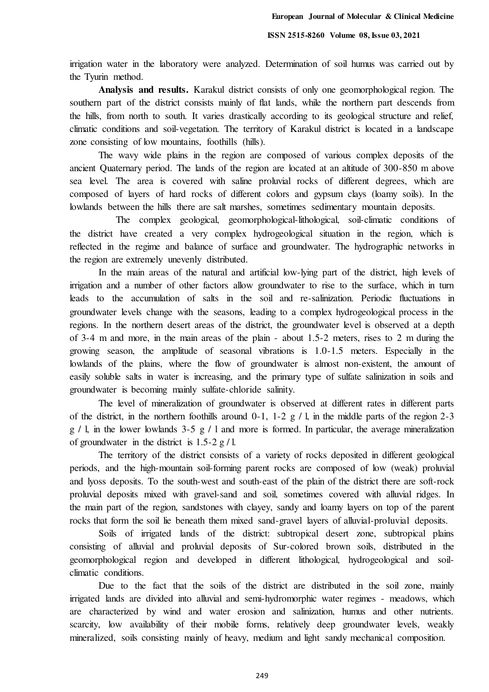irrigation water in the laboratory were analyzed. Determination of soil humus was carried out by the Tyurin method.

**Analysis and results.** Karakul district consists of only one geomorphological region. The southern part of the district consists mainly of flat lands, while the northern part descends from the hills, from north to south. It varies drastically according to its geological structure and relief, climatic conditions and soil-vegetation. The territory of Karakul district is located in a landscape zone consisting of low mountains, foothills (hills).

The wavy wide plains in the region are composed of various complex deposits of the ancient Quaternary period. The lands of the region are located at an altitude of 300-850 m above sea level. The area is covered with saline proluvial rocks of different degrees, which are composed of layers of hard rocks of different colors and gypsum clays (loamy soils). In the lowlands between the hills there are salt marshes, sometimes sedimentary mountain deposits.

 The complex geological, geomorphological-lithological, soil-climatic conditions of the district have created a very complex hydrogeological situation in the region, which is reflected in the regime and balance of surface and groundwater. The hydrographic networks in the region are extremely unevenly distributed.

In the main areas of the natural and artificial low-lying part of the district, high levels of irrigation and a number of other factors allow groundwater to rise to the surface, which in turn leads to the accumulation of salts in the soil and re-salinization. Periodic fluctuations in groundwater levels change with the seasons, leading to a complex hydrogeological process in the regions. In the northern desert areas of the district, the groundwater level is observed at a depth of 3-4 m and more, in the main areas of the plain - about 1.5-2 meters, rises to 2 m during the growing season, the amplitude of seasonal vibrations is 1.0-1.5 meters. Especially in the lowlands of the plains, where the flow of groundwater is almost non-existent, the amount of easily soluble salts in water is increasing, and the primary type of sulfate salinization in soils and groundwater is becoming mainly sulfate-chloride salinity.

The level of mineralization of groundwater is observed at different rates in different parts of the district, in the northern foothills around  $0-1$ ,  $1-2$  g  $/1$ , in the middle parts of the region  $2-3$  $g / l$ , in the lower lowlands 3-5  $g / l$  and more is formed. In particular, the average mineralization of groundwater in the district is  $1.5-2 g/l$ .

The territory of the district consists of a variety of rocks deposited in different geological periods, and the high-mountain soil-forming parent rocks are composed of low (weak) proluvial and lyoss deposits. To the south-west and south-east of the plain of the district there are soft-rock proluvial deposits mixed with gravel-sand and soil, sometimes covered with alluvial ridges. In the main part of the region, sandstones with clayey, sandy and loamy layers on top of the parent rocks that form the soil lie beneath them mixed sand-gravel layers of alluvial-proluvial deposits.

Soils of irrigated lands of the district: subtropical desert zone, subtropical plains consisting of alluvial and proluvial deposits of Sur-colored brown soils, distributed in the geomorphological region and developed in different lithological, hydrogeological and soilclimatic conditions.

Due to the fact that the soils of the district are distributed in the soil zone, mainly irrigated lands are divided into alluvial and semi-hydromorphic water regimes - meadows, which are characterized by wind and water erosion and salinization, humus and other nutrients. scarcity, low availability of their mobile forms, relatively deep groundwater levels, weakly mineralized, soils consisting mainly of heavy, medium and light sandy mechanical composition.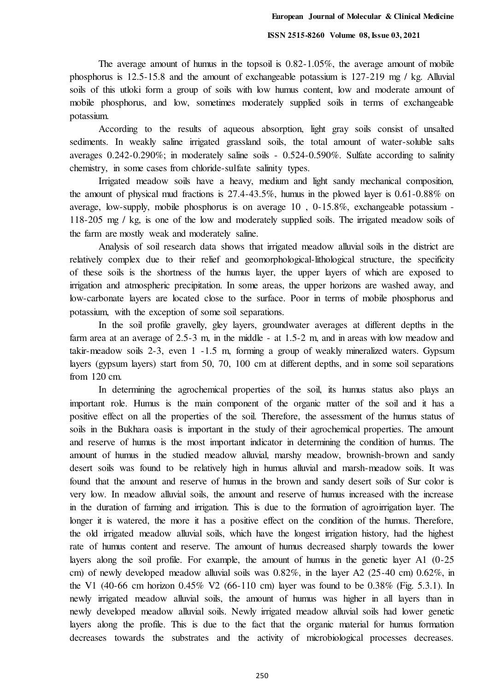The average amount of humus in the topsoil is 0.82-1.05%, the average amount of mobile phosphorus is 12.5-15.8 and the amount of exchangeable potassium is 127-219 mg / kg. Alluvial soils of this utloki form a group of soils with low humus content, low and moderate amount of mobile phosphorus, and low, sometimes moderately supplied soils in terms of exchangeable potassium.

According to the results of aqueous absorption, light gray soils consist of unsalted sediments. In weakly saline irrigated grassland soils, the total amount of water-soluble salts averages 0.242-0.290%; in moderately saline soils - 0.524-0.590%. Sulfate according to salinity chemistry, in some cases from chloride-sulfate salinity types.

Irrigated meadow soils have a heavy, medium and light sandy mechanical composition, the amount of physical mud fractions is 27.4-43.5%, humus in the plowed layer is 0.61-0.88% on average, low-supply, mobile phosphorus is on average 10 , 0-15.8%, exchangeable potassium - 118-205 mg / kg, is one of the low and moderately supplied soils. The irrigated meadow soils of the farm are mostly weak and moderately saline.

Analysis of soil research data shows that irrigated meadow alluvial soils in the district are relatively complex due to their relief and geomorphological-lithological structure, the specificity of these soils is the shortness of the humus layer, the upper layers of which are exposed to irrigation and atmospheric precipitation. In some areas, the upper horizons are washed away, and low-carbonate layers are located close to the surface. Poor in terms of mobile phosphorus and potassium, with the exception of some soil separations.

In the soil profile gravelly, gley layers, groundwater averages at different depths in the farm area at an average of 2.5-3 m, in the middle - at 1.5-2 m, and in areas with low meadow and takir-meadow soils 2-3, even 1 -1.5 m, forming a group of weakly mineralized waters. Gypsum layers (gypsum layers) start from 50, 70, 100 cm at different depths, and in some soil separations from 120 cm.

In determining the agrochemical properties of the soil, its humus status also plays an important role. Humus is the main component of the organic matter of the soil and it has a positive effect on all the properties of the soil. Therefore, the assessment of the humus status of soils in the Bukhara oasis is important in the study of their agrochemical properties. The amount and reserve of humus is the most important indicator in determining the condition of humus. The amount of humus in the studied meadow alluvial, marshy meadow, brownish-brown and sandy desert soils was found to be relatively high in humus alluvial and marsh-meadow soils. It was found that the amount and reserve of humus in the brown and sandy desert soils of Sur color is very low. In meadow alluvial soils, the amount and reserve of humus increased with the increase in the duration of farming and irrigation. This is due to the formation of agroirrigation layer. The longer it is watered, the more it has a positive effect on the condition of the humus. Therefore, the old irrigated meadow alluvial soils, which have the longest irrigation history, had the highest rate of humus content and reserve. The amount of humus decreased sharply towards the lower layers along the soil profile. For example, the amount of humus in the genetic layer A1 (0-25 cm) of newly developed meadow alluvial soils was  $0.82\%$ , in the layer A2 (25-40 cm)  $0.62\%$ , in the V1 (40-66 cm horizon 0.45% V2 (66-110 cm) layer was found to be 0.38% (Fig. 5.3.1). In newly irrigated meadow alluvial soils, the amount of humus was higher in all layers than in newly developed meadow alluvial soils. Newly irrigated meadow alluvial soils had lower genetic layers along the profile. This is due to the fact that the organic material for humus formation decreases towards the substrates and the activity of microbiological processes decreases.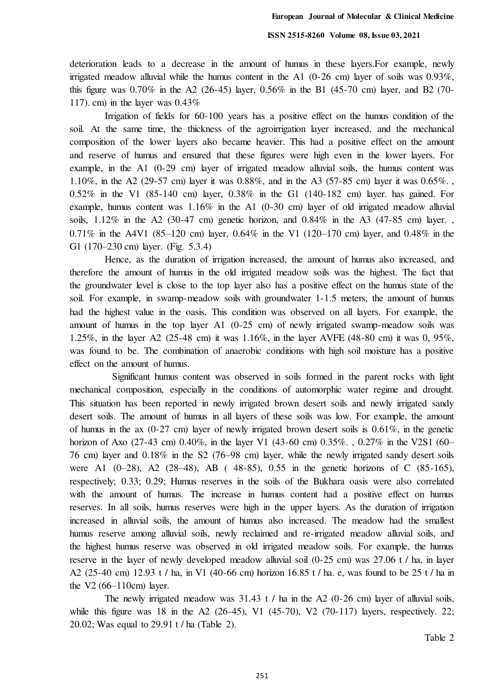deterioration leads to a decrease in the amount of humus in these layers.For example, newly irrigated meadow alluvial while the humus content in the A1 (0-26 cm) layer of soils was 0.93%, this figure was 0.70% in the A2 (26-45) layer, 0.56% in the B1 (45-70 cm) layer, and B2 (70- 117). cm) in the layer was  $0.43\%$ 

Irrigation of fields for 60-100 years has a positive effect on the humus condition of the soil. At the same time, the thickness of the agroirrigation layer increased, and the mechanical composition of the lower layers also became heavier. This had a positive effect on the amount and reserve of humus and ensured that these figures were high even in the lower layers. For example, in the A1 (0-29 cm) layer of irrigated meadow alluvial soils, the humus content was 1.10%, in the A2 (29-57 cm) layer it was 0.88%, and in the A3 (57-85 cm) layer it was 0.65%. , 0.52% in the V1 (85-140 cm) layer, 0.38% in the G1 (140-182 cm) layer. has gained. For example, humus content was 1.16% in the A1 (0-30 cm) layer of old irrigated meadow alluvial soils,  $1.12\%$  in the A2 (30-47 cm) genetic horizon, and  $0.84\%$  in the A3 (47-85 cm) layer. 0.71% in the A4V1 (85–120 cm) layer, 0.64% in the V1 (120–170 cm) layer, and 0.48% in the G1 (170–230 cm) layer. (Fig. 5.3.4)

Hence, as the duration of irrigation increased, the amount of humus also increased, and therefore the amount of humus in the old irrigated meadow soils was the highest. The fact that the groundwater level is close to the top layer also has a positive effect on the humus state of the soil. For example, in swamp-meadow soils with groundwater 1-1.5 meters, the amount of humus had the highest value in the oasis. This condition was observed on all layers. For example, the amount of humus in the top layer A1 (0-25 cm) of newly irrigated swamp-meadow soils was 1.25%, in the layer A2 (25-48 cm) it was 1.16%, in the layer AVFE (48-80 cm) it was 0, 95%, was found to be. The combination of anaerobic conditions with high soil moisture has a positive effect on the amount of humus.

 Significant humus content was observed in soils formed in the parent rocks with light mechanical composition, especially in the conditions of automorphic water regime and drought. This situation has been reported in newly irrigated brown desert soils and newly irrigated sandy desert soils. The amount of humus in all layers of these soils was low. For example, the amount of humus in the ax  $(0-27 \text{ cm})$  layer of newly irrigated brown desert soils is  $0.61\%$ , in the genetic horizon of Axo (27-43 cm) 0.40%, in the layer V1 (43-60 cm) 0.35%., 0.27% in the V2S1 (60– 76 cm) layer and 0.18% in the S2 (76–98 cm) layer, while the newly irrigated sandy desert soils were A1 (0–28), A2 (28–48), AB ( 48-85), 0.55 in the genetic horizons of C (85-165), respectively; 0.33; 0.29; Humus reserves in the soils of the Bukhara oasis were also correlated with the amount of humus. The increase in humus content had a positive effect on humus reserves. In all soils, humus reserves were high in the upper layers. As the duration of irrigation increased in alluvial soils, the amount of humus also increased. The meadow had the smallest humus reserve among alluvial soils, newly reclaimed and re-irrigated meadow alluvial soils, and the highest humus reserve was observed in old irrigated meadow soils. For example, the humus reserve in the layer of newly developed meadow alluvial soil (0-25 cm) was 27.06 t / ha, in layer A2 (25-40 cm) 12.93 t / ha, in V1 (40-66 cm) horizon 16.85 t / ha. e, was found to be 25 t / ha in the V2  $(66-110cm)$  layer.

The newly irrigated meadow was 31.43 t / ha in the A2 (0-26 cm) layer of alluvial soils, while this figure was 18 in the A2 (26-45), V1 (45-70), V2 (70-117) layers, respectively. 22; 20.02; Was equal to 29.91 t / ha (Table 2).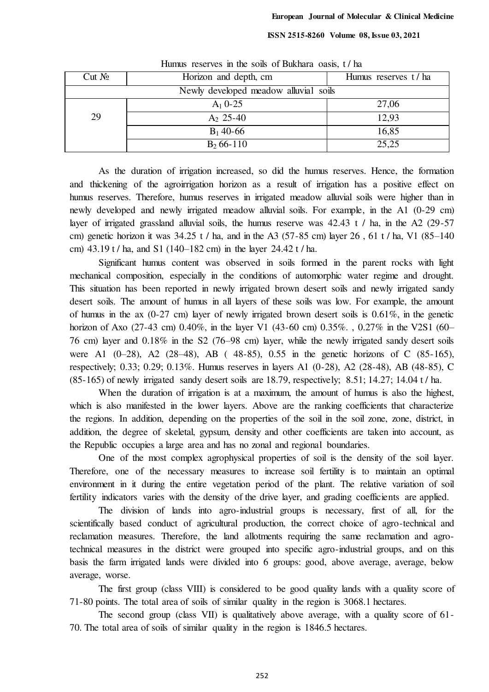| $Cut N_2$                             | Horizon and depth, cm | Humus reserves t/ha |  |
|---------------------------------------|-----------------------|---------------------|--|
| Newly developed meadow alluvial soils |                       |                     |  |
|                                       | $A_1$ 0-25            | 27,06               |  |
| 29                                    | $A_2$ 25-40           | 12,93               |  |
|                                       | $B_1$ 40-66           | 16,85               |  |
|                                       | $B_2$ 66-110          | 25,25               |  |

Humus reserves in the soils of Bukhara oasis, t / ha

As the duration of irrigation increased, so did the humus reserves. Hence, the formation and thickening of the agroirrigation horizon as a result of irrigation has a positive effect on humus reserves. Therefore, humus reserves in irrigated meadow alluvial soils were higher than in newly developed and newly irrigated meadow alluvial soils. For example, in the A1 (0-29 cm) layer of irrigated grassland alluvial soils, the humus reserve was  $42.43$  t / ha, in the A2 (29-57) cm) genetic horizon it was  $34.25$  t / ha, and in the A3 (57-85 cm) layer 26, 61 t / ha, V1 (85–140) cm) 43.19 t / ha, and S1 (140–182 cm) in the layer 24.42 t / ha.

Significant humus content was observed in soils formed in the parent rocks with light mechanical composition, especially in the conditions of automorphic water regime and drought. This situation has been reported in newly irrigated brown desert soils and newly irrigated sandy desert soils. The amount of humus in all layers of these soils was low. For example, the amount of humus in the ax  $(0-27 \text{ cm})$  layer of newly irrigated brown desert soils is  $0.61\%$ , in the genetic horizon of Axo (27-43 cm) 0.40%, in the layer V1 (43-60 cm) 0.35%., 0.27% in the V2S1 (60– 76 cm) layer and 0.18% in the S2 (76–98 cm) layer, while the newly irrigated sandy desert soils were A1 (0–28), A2 (28–48), AB ( 48-85), 0.55 in the genetic horizons of C (85-165), respectively; 0.33; 0.29; 0.13%. Humus reserves in layers A1 (0-28), A2 (28-48), AB (48-85), C (85-165) of newly irrigated sandy desert soils are 18.79, respectively; 8.51; 14.27; 14.04 t / ha.

When the duration of irrigation is at a maximum, the amount of humus is also the highest, which is also manifested in the lower layers. Above are the ranking coefficients that characterize the regions. In addition, depending on the properties of the soil in the soil zone, zone, district, in addition, the degree of skeletal, gypsum, density and other coefficients are taken into account, as the Republic occupies a large area and has no zonal and regional boundaries.

One of the most complex agrophysical properties of soil is the density of the soil layer. Therefore, one of the necessary measures to increase soil fertility is to maintain an optimal environment in it during the entire vegetation period of the plant. The relative variation of soil fertility indicators varies with the density of the drive layer, and grading coefficients are applied.

The division of lands into agro-industrial groups is necessary, first of all, for the scientifically based conduct of agricultural production, the correct choice of agro-technical and reclamation measures. Therefore, the land allotments requiring the same reclamation and agrotechnical measures in the district were grouped into specific agro-industrial groups, and on this basis the farm irrigated lands were divided into 6 groups: good, above average, average, below average, worse.

The first group (class VIII) is considered to be good quality lands with a quality score of 71-80 points. The total area of soils of similar quality in the region is 3068.1 hectares.

The second group (class VII) is qualitatively above average, with a quality score of 61- 70. The total area of soils of similar quality in the region is 1846.5 hectares.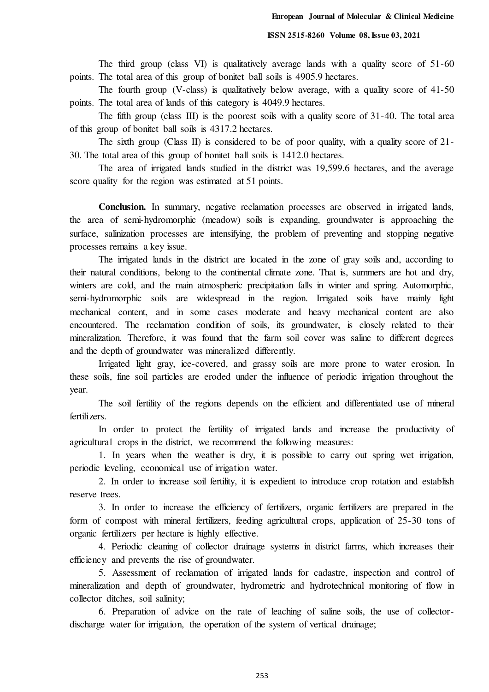The third group (class VI) is qualitatively average lands with a quality score of 51-60 points. The total area of this group of bonitet ball soils is 4905.9 hectares.

The fourth group (V-class) is qualitatively below average, with a quality score of 41-50 points. The total area of lands of this category is 4049.9 hectares.

The fifth group (class III) is the poorest soils with a quality score of 31-40. The total area of this group of bonitet ball soils is 4317.2 hectares.

The sixth group (Class II) is considered to be of poor quality, with a quality score of 21-30. The total area of this group of bonitet ball soils is 1412.0 hectares.

The area of irrigated lands studied in the district was 19,599.6 hectares, and the average score quality for the region was estimated at 51 points.

**Conclusion.** In summary, negative reclamation processes are observed in irrigated lands, the area of semi-hydromorphic (meadow) soils is expanding, groundwater is approaching the surface, salinization processes are intensifying, the problem of preventing and stopping negative processes remains a key issue.

The irrigated lands in the district are located in the zone of gray soils and, according to their natural conditions, belong to the continental climate zone. That is, summers are hot and dry, winters are cold, and the main atmospheric precipitation falls in winter and spring. Automorphic, semi-hydromorphic soils are widespread in the region. Irrigated soils have mainly light mechanical content, and in some cases moderate and heavy mechanical content are also encountered. The reclamation condition of soils, its groundwater, is closely related to their mineralization. Therefore, it was found that the farm soil cover was saline to different degrees and the depth of groundwater was mineralized differently.

Irrigated light gray, ice-covered, and grassy soils are more prone to water erosion. In these soils, fine soil particles are eroded under the influence of periodic irrigation throughout the year.

The soil fertility of the regions depends on the efficient and differentiated use of mineral fertilizers.

In order to protect the fertility of irrigated lands and increase the productivity of agricultural crops in the district, we recommend the following measures:

1. In years when the weather is dry, it is possible to carry out spring wet irrigation, periodic leveling, economical use of irrigation water.

2. In order to increase soil fertility, it is expedient to introduce crop rotation and establish reserve trees.

3. In order to increase the efficiency of fertilizers, organic fertilizers are prepared in the form of compost with mineral fertilizers, feeding agricultural crops, application of 25-30 tons of organic fertilizers per hectare is highly effective.

4. Periodic cleaning of collector drainage systems in district farms, which increases their efficiency and prevents the rise of groundwater.

5. Assessment of reclamation of irrigated lands for cadastre, inspection and control of mineralization and depth of groundwater, hydrometric and hydrotechnical monitoring of flow in collector ditches, soil salinity;

6. Preparation of advice on the rate of leaching of saline soils, the use of collectordischarge water for irrigation, the operation of the system of vertical drainage;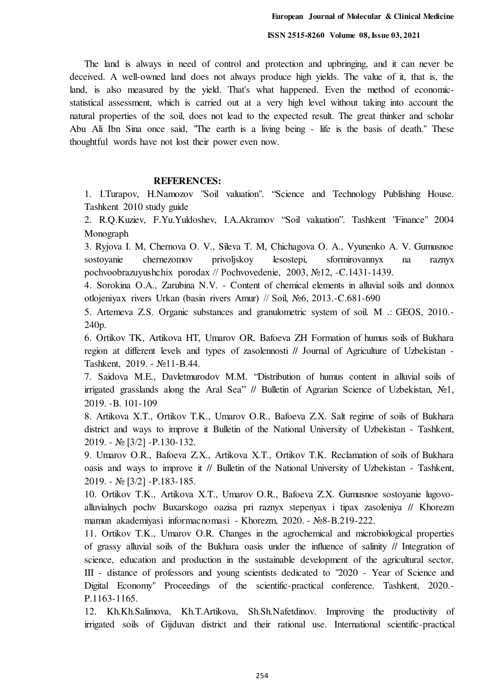The land is always in need of control and protection and upbringing, and it can never be deceived. A well-owned land does not always produce high yields. The value of it, that is, the land, is also measured by the yield. That's what happened. Even the method of economicstatistical assessment, which is carried out at a very high level without taking into account the natural properties of the soil, does not lead to the expected result. The great thinker and scholar Abu Ali Ibn Sina once said, "The earth is a living being - life is the basis of death." These thoughtful words have not lost their power even now.

## **REFERENCES:**

1. I.Turapov, H.Namozov "Soil valuation". "Science and Technology Publishing House. Tashkent 2010 study guide

2. R.Q.Kuziev, F.Yu.Yuldoshev, I.A.Akramov "Soil valuation". Tashkent "Finance" 2004 Monograph

3. Ryjova I. M, Chernova O. V., Sileva T. M, Chichagova O. A., Vyunenko A. V. Gumusnoe sostoyanie chernezomov privoljskoy lesostepi, sformirovannyx na raznyx pochvoobrazuyushchix porodax // Pochvovedenie, 2003, №12, -C.1431-1439.

4. Sorokina O.A., Zarubina N.V. - Content of chemical elements in alluvial soils and donnox otlojeniyax rivers Urkan (basin rivers Amur) // Soil, №6, 2013.-C.681-690

5. Artemeva Z.S. Organic substances and granulometric system of soil. M .: GEOS, 2010.- 240p.

6. Ortikov TK, Artikova HT, Umarov OR, Bafoeva ZH Formation of humus soils of Bukhara region at different levels and types of zasolennosti // Journal of Agriculture of Uzbekistan - Tashkent, 2019. - №11-B.44.

7. Saidova M.E., Davletmurodov M.M. "Distribution of humus content in alluvial soils of irrigated grasslands along the Aral Sea" // Bulletin of Agrarian Science of Uzbekistan, №1, 2019. -B. 101-109

8. Artikova X.T., Ortikov T.K., Umarov O.R., Bafoeva Z.X. Salt regime of soils of Bukhara district and ways to improve it Bulletin of the National University of Uzbekistan - Tashkent, 2019. - № [3/2] -P.130-132.

9. Umarov O.R., Bafoeva Z.X., Artikova X.T., Ortikov T.K. Reclamation of soils of Bukhara oasis and ways to improve it // Bulletin of the National University of Uzbekistan - Tashkent, 2019. - № [3/2] -P.183-185.

10. Ortikov T.K., Artikova X.T., Umarov O.R., Bafoeva Z.X. Gumusnoe sostoyanie lugovoalluvialnych pochv Buxarskogo oazisa pri raznyx stepenyax i tipax zasoleniya // Khorezm mamun akademiyasi informacnomasi - Khorezm, 2020. - №8-B.219-222.

11. Ortikov T.K., Umarov O.R. Changes in the agrochemical and microbiological properties of grassy alluvial soils of the Bukhara oasis under the influence of salinity // Integration of science, education and production in the sustainable development of the agricultural sector, III - distance of professors and young scientists dedicated to "2020 - Year of Science and Digital Economy" Proceedings of the scientific-practical conference. Tashkent, 2020.- P.1163-1165.

12. Kh.Kh.Salimova, Kh.T.Artikova, Sh.Sh.Nafetdinov. Improving the productivity of irrigated soils of Gijduvan district and their rational use. International scientific-practical